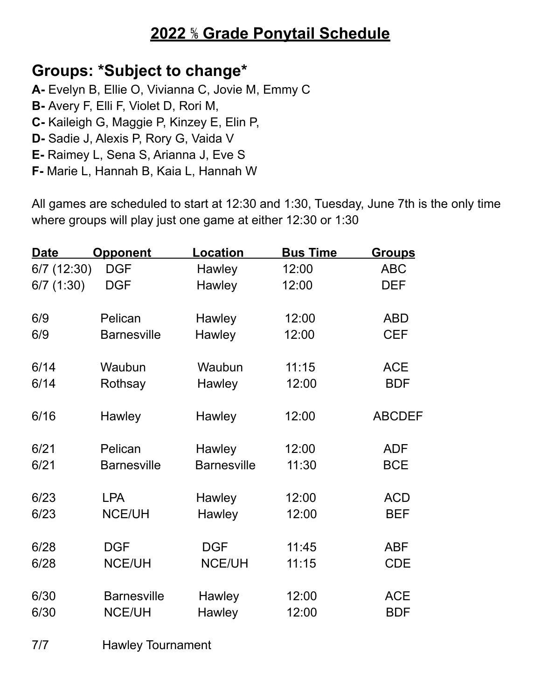# **2022** ⅚ **Grade Ponytail Schedule**

### **Groups: \*Subject to change\***

- **A-** Evelyn B, Ellie O, Vivianna C, Jovie M, Emmy C
- **B-** Avery F, Elli F, Violet D, Rori M,
- **C-** Kaileigh G, Maggie P, Kinzey E, Elin P,
- **D-** Sadie J, Alexis P, Rory G, Vaida V
- **E-** Raimey L, Sena S, Arianna J, Eve S
- **F-** Marie L, Hannah B, Kaia L, Hannah W

All games are scheduled to start at 12:30 and 1:30, Tuesday, June 7th is the only time where groups will play just one game at either 12:30 or 1:30

| <b>Date</b>   | <b>Opponent</b>    | <b>Location</b>    | <b>Bus Time</b> | <u>Groups</u> |
|---------------|--------------------|--------------------|-----------------|---------------|
| $6/7$ (12:30) | <b>DGF</b>         | Hawley             | 12:00           | <b>ABC</b>    |
| 6/7(1:30)     | <b>DGF</b>         | Hawley             | 12:00           | <b>DEF</b>    |
|               |                    |                    |                 |               |
| 6/9           | Pelican            | Hawley             | 12:00           | <b>ABD</b>    |
| 6/9           | <b>Barnesville</b> | Hawley             | 12:00           | <b>CEF</b>    |
| 6/14          |                    |                    | 11:15           | <b>ACE</b>    |
|               | Waubun             | Waubun             |                 |               |
| 6/14          | Rothsay            | Hawley             | 12:00           | <b>BDF</b>    |
| 6/16          | Hawley             | Hawley             | 12:00           | <b>ABCDEF</b> |
|               |                    |                    |                 |               |
| 6/21          | Pelican            | Hawley             | 12:00           | <b>ADF</b>    |
| 6/21          | <b>Barnesville</b> | <b>Barnesville</b> | 11:30           | <b>BCE</b>    |
|               |                    |                    |                 |               |
| 6/23          | <b>LPA</b>         | Hawley             | 12:00           | <b>ACD</b>    |
| 6/23          | <b>NCE/UH</b>      | Hawley             | 12:00           | <b>BEF</b>    |
| 6/28          | <b>DGF</b>         | <b>DGF</b>         | 11:45           | <b>ABF</b>    |
| 6/28          | <b>NCE/UH</b>      | <b>NCE/UH</b>      | 11:15           | <b>CDE</b>    |
|               |                    |                    |                 |               |
| 6/30          | <b>Barnesville</b> | Hawley             | 12:00           | <b>ACE</b>    |
| 6/30          | <b>NCE/UH</b>      | Hawley             | 12:00           | <b>BDF</b>    |
|               |                    |                    |                 |               |

7/7 Hawley Tournament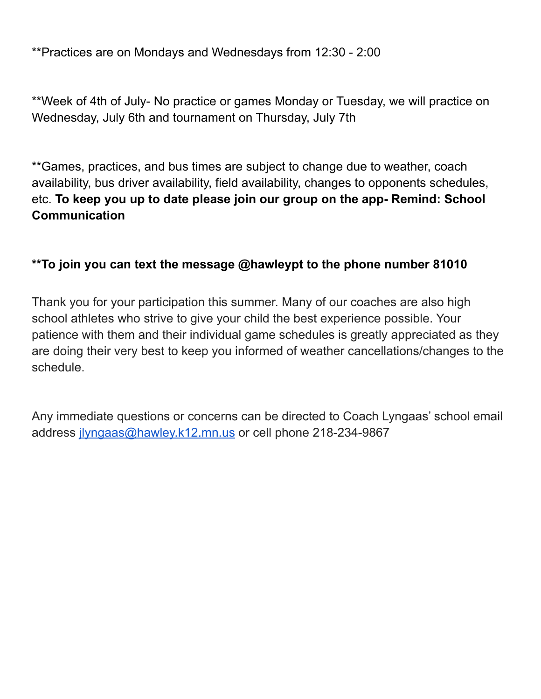\*\*Practices are on Mondays and Wednesdays from 12:30 - 2:00

\*\*Week of 4th of July- No practice or games Monday or Tuesday, we will practice on Wednesday, July 6th and tournament on Thursday, July 7th

\*\*Games, practices, and bus times are subject to change due to weather, coach availability, bus driver availability, field availability, changes to opponents schedules, etc. **To keep you up to date please join our group on the app- Remind: School Communication**

#### **\*\*To join you can text the message @hawleypt to the phone number 81010**

Thank you for your participation this summer. Many of our coaches are also high school athletes who strive to give your child the best experience possible. Your patience with them and their individual game schedules is greatly appreciated as they are doing their very best to keep you informed of weather cancellations/changes to the schedule.

Any immediate questions or concerns can be directed to Coach Lyngaas' school email address [jlyngaas@hawley.k12.mn.us](mailto:jlyngaas@hawley.k12.mn.us) or cell phone 218-234-9867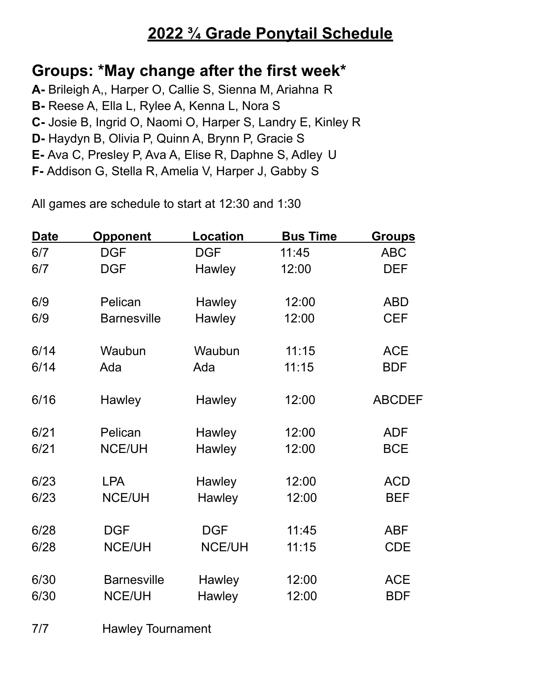# **2022 ¾ Grade Ponytail Schedule**

### **Groups: \*May change after the first week\***

- **A-** Brileigh A,, Harper O, Callie S, Sienna M, Ariahna R
- **B-** Reese A, Ella L, Rylee A, Kenna L, Nora S
- **C-** Josie B, Ingrid O, Naomi O, Harper S, Landry E, Kinley R
- **D-** Haydyn B, Olivia P, Quinn A, Brynn P, Gracie S
- **E-** Ava C, Presley P, Ava A, Elise R, Daphne S, Adley U
- **F-** Addison G, Stella R, Amelia V, Harper J, Gabby S

All games are schedule to start at 12:30 and 1:30

| Date | <b>Opponent</b>    | <b>Location</b> | <b>Bus Time</b> | <b>Groups</b> |
|------|--------------------|-----------------|-----------------|---------------|
| 6/7  | <b>DGF</b>         | <b>DGF</b>      | 11:45           | <b>ABC</b>    |
| 6/7  | <b>DGF</b>         | <b>Hawley</b>   | 12:00           | <b>DEF</b>    |
|      |                    |                 |                 |               |
| 6/9  | Pelican            | Hawley          | 12:00           | <b>ABD</b>    |
| 6/9  | <b>Barnesville</b> | Hawley          | 12:00           | <b>CEF</b>    |
| 6/14 | Waubun             | Waubun          | 11:15           | <b>ACE</b>    |
| 6/14 | Ada                | Ada             | 11:15           | <b>BDF</b>    |
| 6/16 | Hawley             | Hawley          | 12:00           | <b>ABCDEF</b> |
| 6/21 | Pelican            | Hawley          | 12:00           | <b>ADF</b>    |
| 6/21 | <b>NCE/UH</b>      | Hawley          | 12:00           | <b>BCE</b>    |
| 6/23 | <b>LPA</b>         | Hawley          | 12:00           | <b>ACD</b>    |
| 6/23 | <b>NCE/UH</b>      | Hawley          | 12:00           | <b>BEF</b>    |
| 6/28 | <b>DGF</b>         | <b>DGF</b>      | 11:45           | <b>ABF</b>    |
| 6/28 | <b>NCE/UH</b>      | <b>NCE/UH</b>   | 11:15           | <b>CDE</b>    |
|      |                    |                 |                 |               |
| 6/30 | <b>Barnesville</b> | Hawley          | 12:00           | <b>ACE</b>    |
| 6/30 | <b>NCE/UH</b>      | <b>Hawley</b>   | 12:00           | <b>BDF</b>    |

7/7 Hawley Tournament